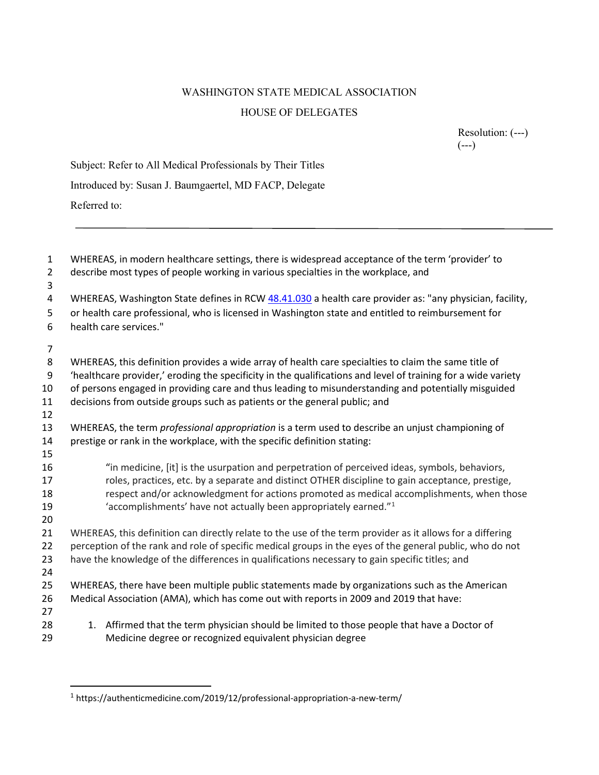## WASHINGTON STATE MEDICAL ASSOCIATION HOUSE OF DELEGATES

Resolution: (---) (---)

| Subject: Refer to All Medical Professionals by Their Titles |
|-------------------------------------------------------------|
| Introduced by: Susan J. Baumgaertel, MD FACP, Delegate      |
| Referred to:                                                |

| $\mathbf{1}$<br>$\overline{2}$<br>3 | WHEREAS, in modern healthcare settings, there is widespread acceptance of the term 'provider' to<br>describe most types of people working in various specialties in the workplace, and |  |  |  |
|-------------------------------------|----------------------------------------------------------------------------------------------------------------------------------------------------------------------------------------|--|--|--|
| 4                                   | WHEREAS, Washington State defines in RCW 48.41.030 a health care provider as: "any physician, facility,                                                                                |  |  |  |
| 5                                   | or health care professional, who is licensed in Washington state and entitled to reimbursement for                                                                                     |  |  |  |
| 6                                   | health care services."                                                                                                                                                                 |  |  |  |
| 7                                   |                                                                                                                                                                                        |  |  |  |
| 8                                   | WHEREAS, this definition provides a wide array of health care specialties to claim the same title of                                                                                   |  |  |  |
| 9                                   | 'healthcare provider,' eroding the specificity in the qualifications and level of training for a wide variety                                                                          |  |  |  |
| 10                                  | of persons engaged in providing care and thus leading to misunderstanding and potentially misguided                                                                                    |  |  |  |
| 11                                  | decisions from outside groups such as patients or the general public; and                                                                                                              |  |  |  |
| 12                                  |                                                                                                                                                                                        |  |  |  |
| 13                                  | WHEREAS, the term <i>professional appropriation</i> is a term used to describe an unjust championing of                                                                                |  |  |  |
| 14<br>15                            | prestige or rank in the workplace, with the specific definition stating:                                                                                                               |  |  |  |
| 16                                  | "in medicine, [it] is the usurpation and perpetration of perceived ideas, symbols, behaviors,                                                                                          |  |  |  |
| 17                                  | roles, practices, etc. by a separate and distinct OTHER discipline to gain acceptance, prestige,                                                                                       |  |  |  |
| 18                                  | respect and/or acknowledgment for actions promoted as medical accomplishments, when those                                                                                              |  |  |  |
| 19                                  | 'accomplishments' have not actually been appropriately earned." <sup>1</sup>                                                                                                           |  |  |  |
| 20                                  |                                                                                                                                                                                        |  |  |  |
| 21                                  | WHEREAS, this definition can directly relate to the use of the term provider as it allows for a differing                                                                              |  |  |  |
| 22                                  | perception of the rank and role of specific medical groups in the eyes of the general public, who do not                                                                               |  |  |  |
| 23                                  | have the knowledge of the differences in qualifications necessary to gain specific titles; and                                                                                         |  |  |  |
| 24                                  |                                                                                                                                                                                        |  |  |  |
| 25                                  | WHEREAS, there have been multiple public statements made by organizations such as the American                                                                                         |  |  |  |
| 26                                  | Medical Association (AMA), which has come out with reports in 2009 and 2019 that have:                                                                                                 |  |  |  |
| 27<br>28                            | 1. Affirmed that the term physician should be limited to those people that have a Doctor of                                                                                            |  |  |  |
| 29                                  | Medicine degree or recognized equivalent physician degree                                                                                                                              |  |  |  |
|                                     |                                                                                                                                                                                        |  |  |  |

 $^{1}$ https://authenticmedicine.com/2019/12/professional-appropriation-a-new-term/